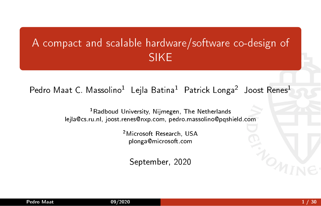# A compact and scalable hardware/software co-design of SIKE

Pedro Maat C. Massolino<sup>1</sup> Lejla Batina<sup>1</sup> Patrick Longa<sup>2</sup> Joost Renes<sup>1</sup>

<sup>1</sup>Radboud University, Nijmegen, The Netherlands lejla@cs.ru.nl, joost.renes@nxp.com, pedro.massolino@pqshield.com

> <sup>2</sup>Microsoft Research, USA plonga@microsoft.com

September, 2020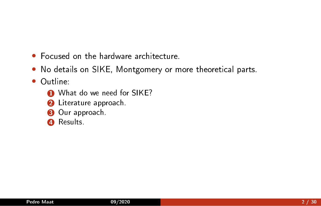- Focused on the hardware architecture.
- No details on SIKE, Montgomery or more theoretical parts.
- Outline:
	- **1** What do we need for SIKE?
	- **2** Literature approach.
	- **3** Our approach.
	- **4** Results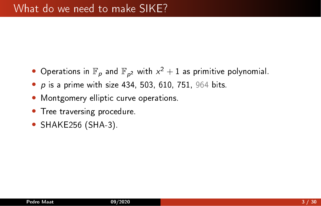- $\bullet$  Operations in  $\mathbb{F}_p$  and  $\mathbb{F}_{p^2}$  with  $x^2+1$  as primitive polynomial.
- $\bullet$  p is a prime with size 434, 503, 610, 751, 964 bits.
- Montgomery elliptic curve operations.
- Tree traversing procedure.
- SHAKE256 (SHA-3).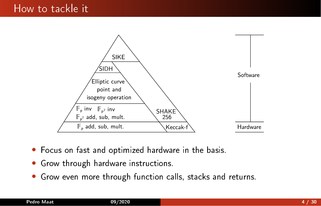

- Focus on fast and optimized hardware in the basis.
- Grow through hardware instructions.
- Grow even more through function calls, stacks and returns.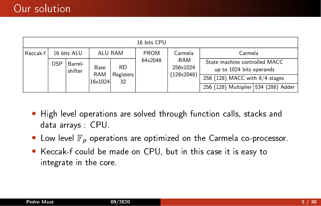|                         | 16 bits CPU |                    |                    |                 |         |                                      |                                                           |  |  |  |  |
|-------------------------|-------------|--------------------|--------------------|-----------------|---------|--------------------------------------|-----------------------------------------------------------|--|--|--|--|
| Keccak f<br>16 bits ALU |             | ALU RAM            |                    | PROM            | Carmela | Carmela                              |                                                           |  |  |  |  |
|                         | <b>DSP</b>  | Barrel-<br>shifter | Base<br><b>RAM</b> | RD              | 64×2048 | <b>RAM</b><br>256×1024<br>(128x2048) | State machine controlled MACC<br>up to 1024 bits operands |  |  |  |  |
|                         |             |                    | 16×1024            | Registers<br>32 |         |                                      | 256 (128) MACC with 8/4 stages                            |  |  |  |  |
|                         |             |                    |                    |                 |         |                                      | 256 (128) Multiplier 534 (288) Adder                      |  |  |  |  |

- High level operations are solved through function calls, stacks and data arrays : CPU.
- Low level  $\mathbb{F}_p$  operations are optimized on the Carmela co-processor.
- Keccak-f could be made on CPU, but in this case it is easy to integrate in the core.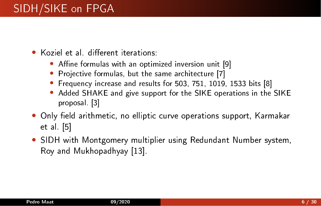- Koziel et al. different iterations:
	- Affine formulas with an optimized inversion unit [\[9\]](#page-28-0)
	- Projective formulas, but the same architecture [\[7\]](#page-28-1)
	- Frequency increase and results for 503, 751, 1019, 1533 bits [\[8\]](#page-28-2)
	- Added SHAKE and give support for the SIKE operations in the SIKE proposal. [\[3\]](#page-27-0)
- Only field arithmetic, no elliptic curve operations support, Karmakar et al. [\[5\]](#page-27-1)
- SIDH with Montgomery multiplier using Redundant Number system, Roy and Mukhopadhyay [\[13\]](#page-29-0).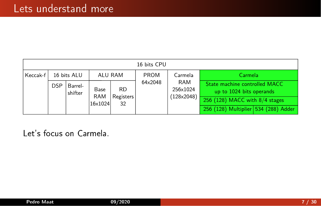|          | 16 bits CPU |                    |                       |                 |             |                 |                                                           |  |  |  |  |
|----------|-------------|--------------------|-----------------------|-----------------|-------------|-----------------|-----------------------------------------------------------|--|--|--|--|
| Keccak f |             | 16 bits ALU        | ALU RAM               |                 | <b>PROM</b> | Carmela         | Carmela                                                   |  |  |  |  |
|          | <b>DSP</b>  | Barrel-<br>shifter | Base                  | RD              | 64×2048     | RAM<br>256×1024 | State machine controlled MACC<br>up to 1024 bits operands |  |  |  |  |
|          |             |                    | <b>RAM</b><br>16×1024 | Registers<br>32 |             | (128x2048)      | 256 (128) MACC with $8/4$ stages                          |  |  |  |  |
|          |             |                    |                       |                 |             |                 | 256 (128) Multiplier 534 (288) Adder                      |  |  |  |  |

Let's focus on Carmela.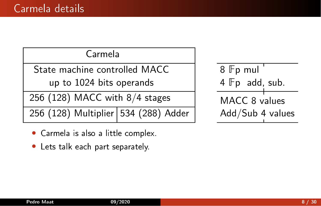Carmela

State machine controlled MACC

up to 1024 bits operands

256 (128) MACC with  $8/4$  stages

256 (128) Multiplier 534 (288) Adder

- Carmela is also a little complex.
- Lets talk each part separately.

8 Fp mul  $4$   $Fp$  add, sub. MACC 8 values Add/Sub 4 values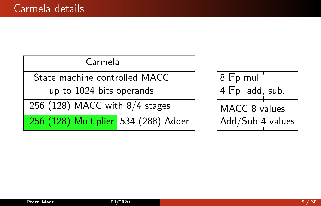| Carmela |  |
|---------|--|
|         |  |

State machine controlled MACC

up to 1024 bits operands

256 (128) MACC with  $8/4$  stages

256 (128) Multiplier 534 (288) Adder

8 Fp mul 4 Fp add, sub. MACC 8 values Add/Sub 4 values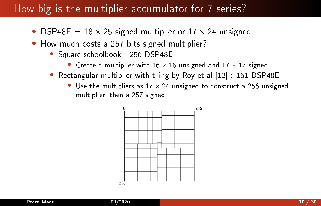## How big is the multiplier accumulator for 7 series?

- DSP48E =  $18 \times 25$  signed multiplier or  $17 \times 24$  unsigned.
- How much costs a 257 bits signed multiplier?
	- Square schoolbook : 256 DSP48E.
		- Create a multiplier with  $16 \times 16$  unsigned and  $17 \times 17$  signed.
	- Rectangular multiplier with tiling by Roy et al [\[12\]](#page-29-1) : 161 DSP48E
		- Use the multipliers as  $17 \times 24$  unsigned to construct a 256 unsigned multiplier, then a 257 signed.

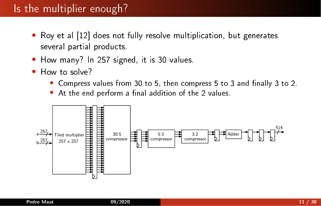## Is the multiplier enough?

- Roy et al [\[12\]](#page-29-1) does not fully resolve multiplication, but generates several partial products.
- How many? In 257 signed, it is 30 values.
- How to solve?
	- Compress values from 30 to 5, then compress 5 to 3 and finally 3 to 2.
	- At the end perform a final addition of the 2 values.

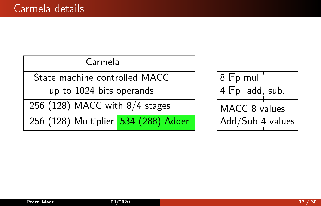### Carmela

State machine controlled MACC

up to 1024 bits operands

256 (128) MACC with  $8/4$  stages

256 (128) Multiplier 534 (288) Adder

8 Fp mul 4 Fp add, sub. MACC 8 values Add/Sub 4 values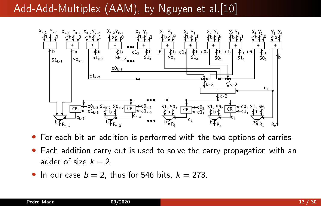# Add-Add-Multiplex (AAM), by Nguyen et al.<sup>[\[10\]](#page-28-3)</sup>



• For each bit an addition is performed with the two options of carries.

- Each addition carry out is used to solve the carry propagation with an adder of size  $k - 2$ .
- In our case  $b = 2$ , thus for 546 bits,  $k = 273$ .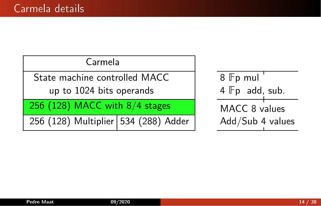### Carmela

State machine controlled MACC

up to 1024 bits operands

256 (128) MACC with  $8/4$  stages

256 (128) Multiplier 534 (288) Adder

8 Fp mul 4 Fp add, sub. MACC 8 values Add/Sub 4 values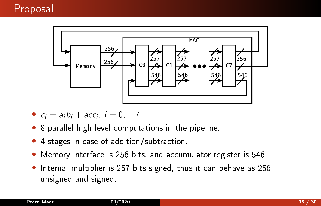

- $c_i = a_i b_i + acc_i, i = 0, ..., 7$
- 8 parallel high level computations in the pipeline.
- 4 stages in case of addition/subtraction.
- Memory interface is 256 bits, and accumulator register is 546.
- Internal multiplier is 257 bits signed, thus it can behave as 256 unsigned and signed.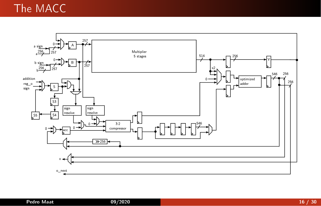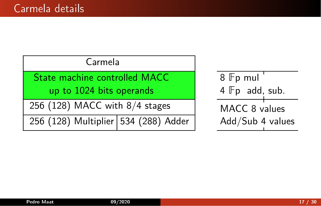| Carmela                              |                 |
|--------------------------------------|-----------------|
| State machine controlled MACC        | $8$ $Fp$ r      |
| up to 1024 bits operands             | $4 \mathbb{F}p$ |
| 256 (128) MACC with $8/4$ stages     | MACC            |
| 256 (128) Multiplier 534 (288) Adder | Add/S           |

mul $\overline{\phantom{a}}$ add, sub.  $28$  values Sub 4 values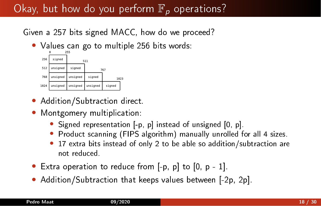# Okay, but how do you perform  $\mathbb{F}_p$  operations?

Given a 257 bits signed MACC, how do we proceed?

• Values can go to multiple 256 bits words:



- Addition/Subtraction direct.
- Montgomery multiplication:
	- Signed representation  $[-p, p]$  instead of unsigned  $[0, p]$ .
	- Product scanning (FIPS algorithm) manually unrolled for all 4 sizes.
	- 17 extra bits instead of only 2 to be able so addition/subtraction are not reduced.
- Extra operation to reduce from  $[-p, p]$  to  $[0, p 1]$ .
- Addition/Subtraction that keeps values between [-2p, 2p].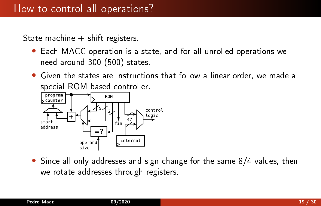State machine  $+$  shift registers.

- Each MACC operation is a state, and for all unrolled operations we need around 300 (500) states.
- Given the states are instructions that follow a linear order, we made a special ROM based controller.



• Since all only addresses and sign change for the same 8/4 values, then we rotate addresses through registers.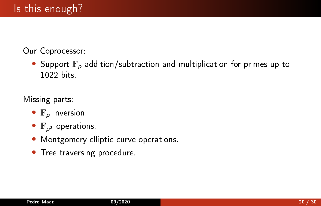Our Coprocessor:

• Support  $\mathbb{F}_p$  addition/subtraction and multiplication for primes up to 1022 bits.

Missing parts:

- $\mathbb{F}_p$  inversion.
- $\bullet$   $\mathbb{F}_{p^2}$  operations.
- Montgomery elliptic curve operations.
- Tree traversing procedure.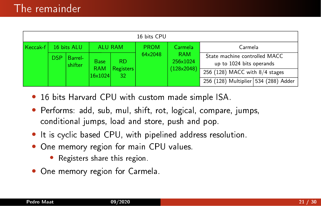|                         | 16 bits CPU                              |                |                       |                        |                        |                                                           |                                      |  |  |  |  |
|-------------------------|------------------------------------------|----------------|-----------------------|------------------------|------------------------|-----------------------------------------------------------|--------------------------------------|--|--|--|--|
| 16 bits ALU<br>Keccak-f |                                          | <b>ALU RAM</b> |                       | <b>PROM</b>            | Carmela                | Carmela                                                   |                                      |  |  |  |  |
|                         | DSP<br>Barrel-<br><b>Base</b><br>shifter |                | <b>RD</b>             | 64×2048                | <b>RAM</b><br>256×1024 | State machine controlled MACC<br>up to 1024 bits operands |                                      |  |  |  |  |
|                         |                                          |                | <b>RAM</b><br>16×1024 | <b>Registers</b><br>32 |                        | $128\times2048$                                           | 256 (128) MACC with 8/4 stages       |  |  |  |  |
|                         |                                          |                |                       |                        |                        |                                                           | 256 (128) Multiplier 534 (288) Adder |  |  |  |  |

- 16 bits Harvard CPU with custom made simple ISA.
- Performs: add, sub, mul, shift, rot, logical, compare, jumps, conditional jumps, load and store, push and pop.
- It is cyclic based CPU, with pipelined address resolution.
- One memory region for main CPU values.
	- Registers share this region.
- One memory region for Carmela.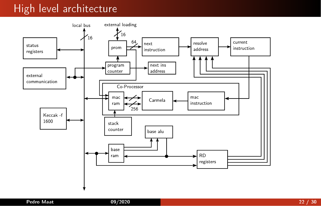## High level architecture

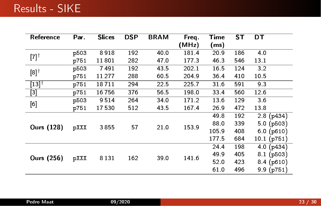| Reference           | Par. | <b>Slices</b> | <b>DSP</b> | <b>BRAM</b> | Freq. | Time  | ST  | DT               |
|---------------------|------|---------------|------------|-------------|-------|-------|-----|------------------|
|                     |      |               |            |             | (MHz) | (ms)  |     |                  |
| $[7]^\dagger$       | p503 | 8918          | 192        | 40.0        | 1814  | 20.9  | 186 | 4.0              |
|                     | p751 | 11801         | 282        | 47.0        | 1773  | 46.3  | 546 | 13.1             |
| $[8]$ <sup>†</sup>  | p503 | 7491          | 192        | 435         | 202.1 | 16.5  | 124 | 3.2              |
|                     | p751 | 11277         | 288        | 60.5        | 204.9 | 36.4  | 410 | 10.5             |
| $[13]$ <sup>†</sup> | p751 | 18711         | 294        | 22.5        | 225.7 | 316   | 591 | 93               |
| $\overline{[3]}$    | p751 | 16756         | 376        | 56.5        | 198.0 | 33.4  | 560 | 12.6             |
| [6]                 | p503 | 9514          | 264        | 34.0        | 1712  | 13.6  | 129 | 3 6              |
|                     | p751 | 17530         | 512        | 43.5        | 1674  | 26.9  | 472 | 13.8             |
|                     |      |               |            |             |       | 49.8  | 192 | 2.8(p434)        |
| <b>Ours (128)</b>   | pXXX | 3855          | 57         | 21.0        | 153.9 | 88.0  | 339 | 5.0(p503)        |
|                     |      |               |            |             |       | 105.9 | 408 | $6.0$ ( $p610$ ) |
|                     |      |               |            |             |       | 177.5 | 684 | 10.1(p751)       |
|                     |      |               |            |             |       | 24.4  | 198 | 4.0(p434)        |
| <b>Ours (256)</b>   | pXXX | 8 1 3 1       | 162        | 39.0        | 141.6 | 49.9  | 405 | $8.1$ (p503)     |
|                     |      |               |            |             |       | 52.0  | 423 | $8.4$ (p610)     |
|                     |      |               |            |             |       | 610   | 496 | 9.9(p751)        |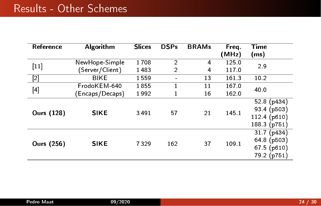| Reference         | Algorithm       | <b>Slices</b> | <b>DSPs</b>    | <b>BRAMs</b> | Frea. | Time          |  |
|-------------------|-----------------|---------------|----------------|--------------|-------|---------------|--|
|                   |                 |               |                |              | (MHz) | (ms)          |  |
| $[11]$            | NewHope-Simple  | 1708          | $\overline{2}$ | 4            | 125.0 | 2.9           |  |
|                   | (Server/Client) | 1483          | $\overline{2}$ | 4            | 117.0 |               |  |
| $[2]$             | <b>BIKE</b>     | 1559          |                | 13           | 1613  | 10.2          |  |
|                   | FrodoKEM-640    | 1855          | 1              | 11           | 167.0 | 40.0          |  |
| $[4]$             | Encaps/Decaps)  | 1992          |                | 16           | 162.0 |               |  |
|                   |                 |               |                | 21           |       | 52.8 $(p434)$ |  |
| <b>Ours (128)</b> | <b>SIKE</b>     | 3491          | 57             |              | 1451  | 93.4(p503)    |  |
|                   |                 |               |                |              |       | 112 4 (p610)  |  |
|                   |                 |               |                |              |       | 188.3 (p751)  |  |
|                   |                 |               |                |              |       | 317(p434)     |  |
| <b>Ours (256)</b> | <b>SIKE</b>     | 7329          | 162            | 37           | 109 1 | 64.8(p503)    |  |
|                   |                 |               |                |              |       | 67.5(p610)    |  |
|                   |                 |               |                |              |       | 79.2 (p751)   |  |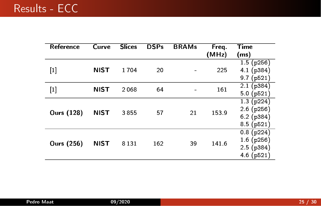| Reference                                                                                                                                                                                        | Curve       | <b>Slices</b> | <b>DSPs</b> | <b>BRAMs</b> | Freq.<br>(MHz) | Time<br>(ms)                                               |
|--------------------------------------------------------------------------------------------------------------------------------------------------------------------------------------------------|-------------|---------------|-------------|--------------|----------------|------------------------------------------------------------|
| $[1]$                                                                                                                                                                                            | <b>NIST</b> | 1704          | 20          |              | 225            | 1.5(p256)<br>4.1(p384)<br>9.7(p521)                        |
| $[1] % \includegraphics[width=0.9\columnwidth]{figures/fig_1a} \caption{The figure shows the number of times on the right, and the number of times on the right, respectively.} \label{fig:1} %$ | <b>NIST</b> | 2068          | 64          |              | 161            | 2.1(p384)<br>5.0(p521)                                     |
| <b>Ours (128)</b>                                                                                                                                                                                | <b>NIST</b> | 3855          | 57          | 21           | 1539           | 1.3(p224)<br>$2.6$ (p $256$ )<br>$6.2$ (p384)<br>8.5(p521) |
| Ours (256)                                                                                                                                                                                       | <b>NIST</b> | 8 1 3 1       | 162         | 39           | 141.6          | 0.8(p224)<br>1.6(p256)<br>2.5(p384)<br>4.6(p521)           |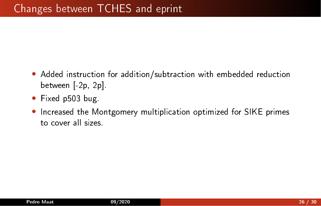- Added instruction for addition/subtraction with embedded reduction between [-2p, 2p].
- Fixed p503 bug.
- Increased the Montgomery multiplication optimized for SIKE primes to cover all sizes.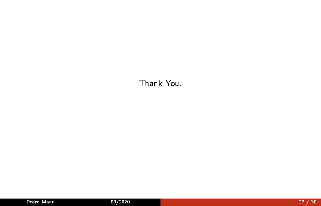### Thank You.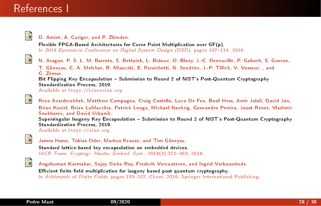### References I

<span id="page-27-4"></span>

#### D. Amiet, A. Curiger, and P. Zbinden.

Flexible FPGA-Based Architectures for Curve Point Multiplication over GF(p). In 2016 Euromicro Conference on Digital System Design (DSD), pages 107-114, 2016.

<span id="page-27-2"></span>

N. Aragon, P. S. L. M. Barreto, S. Bettaieb, L. Bidoux, O. Blazy, J.-C. Deneuville, P. Gaborit, S. Gueron, T. Güneysu, C. A. Melchor, R. Misoczki, E. Persichetti, N. Sendrier, J.-P. Tillich, V. Vasseur, , and G. Zémor.

Bit Flipping Key Encapsulation - Submission to Round 2 of NIST's Post-Quantum Cryptography Standardization Process, 2019.

Available at [https://bikesuite.org.](https://bikesuite.org)

<span id="page-27-0"></span>

Reza Azarderakhsh, Matthew Campagna, Craig Costello, Luca De Feo, Basil Hess, Amir Jalali, David Jao, Brian Koziel, Brian LaMacchia, Patrick Longa, Michael Naehrig, Geovandro Pereira, Joost Renes, Vladimir Soukharev, and David Urbanik.

Supersingular Isogeny Key Encapsulation - Submission to Round 2 of NIST's Post-Quantum Cryptography Standardization Process, 2019.

Available at [https://sike.org.](https://sike.org)

<span id="page-27-3"></span>

James Howe, Tobias Oder, Markus Krausz, and Tim Güneysu. Standard lattice-based key encapsulation on embedded devices. IACR Trans. Cryptogr. Hardw. Embed. Syst., 2018(3):372-393, 2018.

<span id="page-27-1"></span>

Angshuman Karmakar, Sujoy Sinha Roy, Frederik Vercauteren, and Ingrid Verbauwhede.

Efficient finite field multiplication for isogeny based post quantum cryptography. In Arithmetic of Finite Fields, pages 193-207, Cham, 2016, Springer International Publishing.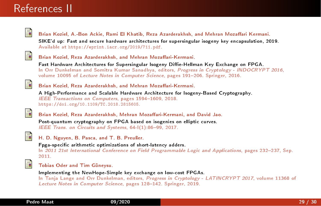### References II

<span id="page-28-4"></span>

Brian Koziel, A.-Bon Ackie, Rami El Khatib, Reza Azarderakhsh, and Mehran Mozaffari Kermani. SIKE'd up: Fast and secure hardware architectures for supersingular isogeny key encapsulation, 2019. Available at [https://eprint.iacr.org/2019/711.pdf.](https://eprint.iacr.org/2019/711.pdf)

<span id="page-28-1"></span>

#### Brian Koziel, Reza Azarderakhsh, and Mehran Mozaffari-Kermani.

Fast Hardware Architectures for Supersingular Isogeny Diffie-Hellman Key Exchange on FPGA. In Orr Dunkelman and Somitra Kumar Sanadhya, editors, Progress in Cryptology - INDOCRYPT 2016. volume 10095 of Lecture Notes in Computer Science, pages 191-206. Springer, 2016.

<span id="page-28-2"></span>

Brian Koziel, Reza Azarderakhsh, and Mehran Mozaffari-Kermani.

A High-Performance and Scalable Hardware Architecture for Isogeny-Based Cryptography. IEEE Transactions on Computers, pages 1594-1609, 2018. [https://doi.org/10.1109/TC.2018.2815605.](https://doi.org/10.1109/TC.2018.2815605)

<span id="page-28-0"></span>

Brian Koziel, Reza Azarderakhsh, Mehran Mozaffari-Kermani, and David Jao. Post-quantum cryptography on FPGA based on isogenies on elliptic curves. IEEE Trans. on Circuits and Systems, 64-1(1):86-99, 2017.

<span id="page-28-3"></span>

H. D. Nguyen, B. Pasca, and T. B. Preußer.

Fpga-specific arithmetic optimizations of short-latency adders. In 2011 21st International Conference on Field Programmable Logic and Applications, pages 232-237, Sep.

2011.

<span id="page-28-5"></span>

#### Tobias Oder and Tim Güneysu.

Implementing the NewHope-Simple key exchange on low-cost FPGAs.

In Tanja Lange and Orr Dunkelman, editors, Progress in Cryptology - LATINCRYPT 2017, volume 11368 of Lecture Notes in Computer Science, pages 128-142. Springer, 2019.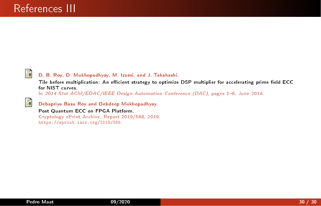<span id="page-29-1"></span>

<span id="page-29-0"></span>F

#### D. B. Roy, D. Mukhopadhyay, M. Izumi, and J. Takahashi.

Tile before multiplication: An efficient strategy to optimize DSP multiplier for accelerating prime field ECC for NIST curves.

In 2014 51st ACM/EDAC/IEEE Design Automation Conference (DAC), pages 1-6, June 2014.

Debapriya Basu Roy and Debdeep Mukhopadhyay.

#### Post Quantum ECC on FPGA Platform.

Cryptology ePrint Archive, Report 2019/568, 2019. [https://eprint.iacr.org/2019/568.](https://eprint.iacr.org/2019/568)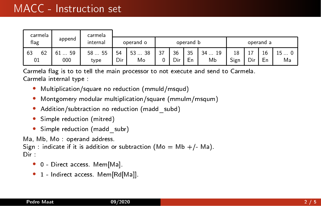| carmela<br>carmela<br>append<br>flag<br>internal |                      |                     |           |                                |           |           |               |                                     |            |               |                                      |                      |
|--------------------------------------------------|----------------------|---------------------|-----------|--------------------------------|-----------|-----------|---------------|-------------------------------------|------------|---------------|--------------------------------------|----------------------|
|                                                  |                      |                     |           | operand o                      | operand b |           |               |                                     | operand a  |               |                                      |                      |
| 62<br>63<br>01                                   | 59<br>61<br>.<br>000 | $-55$<br>58<br>type | 54<br>Dir | 38<br>53<br><b>COLOR</b><br>Mo | 37<br>∩   | 36<br>Dir | 35<br>-<br>Еn | 19<br>34<br><b>Contractor</b><br>Мb | 18<br>Sign | -<br>ᅩ<br>Dir | 16<br>$\overline{\phantom{0}}$<br>Еn | 15<br>$\cdots$<br>Ma |

Carmela flag is to to tell the main processor to not execute and send to Carmela. Carmela internal type :

- Multiplication/square no reduction (mmuld/msqud)
- Montgomery modular multiplication/square (mmulm/msqum)
- Addition/subtraction no reduction (madd subd)
- Simple reduction (mitred)
- Simple reduction (madd subr)

Ma, Mb, Mo : operand address.

Sign : indicate if it is addition or subtraction ( $Mo = Mb + / - Ma$ ). Dir :

- 0 Direct access. Mem[Ma].
- 1 Indirect access. Mem[Rd[Ma]].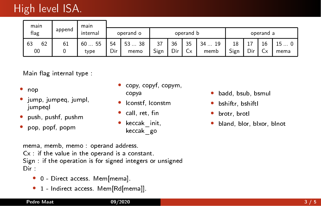# High level ISA.

| main<br>main   |        |                  |           |                  |            |           |           |                      |            |            |          |            |
|----------------|--------|------------------|-----------|------------------|------------|-----------|-----------|----------------------|------------|------------|----------|------------|
| flag           | append | internal         | operand o |                  |            |           | operand b |                      | operand a  |            |          |            |
| 62<br>63<br>00 | 61     | 55<br>60<br>type | 54<br>Dir | 38<br>53<br>memo | 37<br>Sign | 36<br>Dir | 35<br>Сx  | 19<br>$34 -$<br>memb | 18<br>Sign | - -<br>Dir | 16<br>ĆХ | 15<br>mema |

Main flag internal type

- nop
- jump, jumpeq, jumpl, jumpeql
- push, pushf, pushm
- pop, popf, popm
- copy, copyf, copym, copya
- lconstf, lconstm
- call, ret, fin
- keccak init, keccak\_go
- badd, bsub, bsmul
- bshiftr, bshiftl
- brotr, brotl
- bland, blor, blxor, blnot

mema, memb, memo : operand address. Cx : if the value in the operand is a constant. Sign if the operation is for signed integers or unsigned Dir :

- 0 Direct access. Mem[mema].
- 1 Indirect access. Mem[Rd[mema]].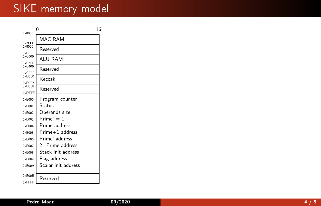## SIKE memory model

| $0 \times 0000$           | 0                   | 16 |
|---------------------------|---------------------|----|
| 0x7FFF                    | MAC RAM             |    |
| $0 \times 8000$<br>0xBFFF | Reserved            |    |
| $0 \times C000$<br>0xC3FF | ALU RAM             |    |
| $0 \times C400$           | Reserved            |    |
| 0xCEEE<br>$0 \times$ D000 | Keccak              |    |
| $0 \times$ D007<br>0xD008 | Reserved            |    |
| 0xDEEE                    |                     |    |
| 0xF000                    | Program counter     |    |
| 0xF001                    | Status              |    |
| 0xE002                    | Operands size       |    |
| 0xE003                    | $Prime = 1$         |    |
| 0xE004                    | Prime address       |    |
| $0 \times$ E005           | Prime+1 address     |    |
| $0 \times$ E006           | Prime address       |    |
| $0 \times E007$           | 2 Prime address     |    |
| $0 \times E008$           | Stack init address  |    |
| $0 \times E009$           | Flag address        |    |
| 0xE00A                    | Scalar init address |    |
| 0xE00B                    | Reserved            |    |
| 0xFFFF                    |                     |    |